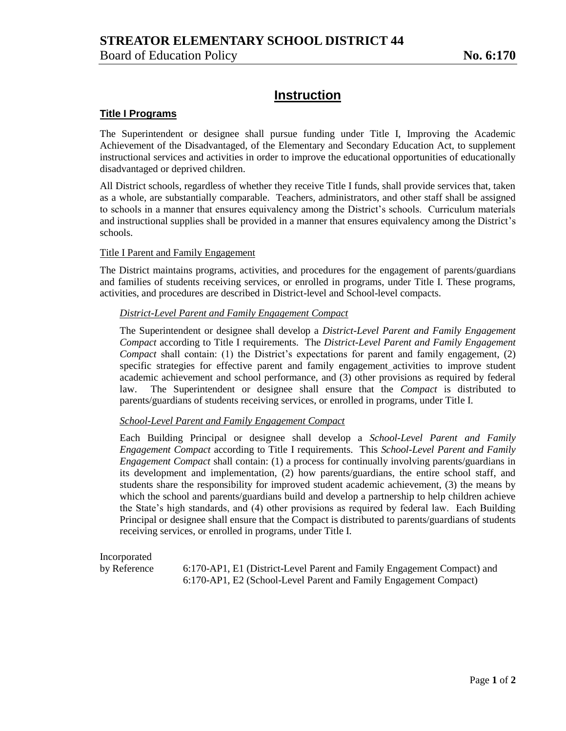# **Instruction**

## **Title I Programs**

The Superintendent or designee shall pursue funding under Title I, Improving the Academic Achievement of the Disadvantaged, of the Elementary and Secondary Education Act, to supplement instructional services and activities in order to improve the educational opportunities of educationally disadvantaged or deprived children.

All District schools, regardless of whether they receive Title I funds, shall provide services that, taken as a whole, are substantially comparable. Teachers, administrators, and other staff shall be assigned to schools in a manner that ensures equivalency among the District's schools. Curriculum materials and instructional supplies shall be provided in a manner that ensures equivalency among the District's schools.

#### Title I Parent and Family Engagement

The District maintains programs, activities, and procedures for the engagement of parents/guardians and families of students receiving services, or enrolled in programs, under Title I. These programs, activities, and procedures are described in District-level and School-level compacts.

#### *District-Level Parent and Family Engagement Compact*

The Superintendent or designee shall develop a *District-Level Parent and Family Engagement Compact* according to Title I requirements. The *District-Level Parent and Family Engagement Compact* shall contain: (1) the District's expectations for parent and family engagement, (2) specific strategies for effective parent and family engagement activities to improve student academic achievement and school performance, and (3) other provisions as required by federal law. The Superintendent or designee shall ensure that the *Compact* is distributed to parents/guardians of students receiving services, or enrolled in programs, under Title I.

### *School-Level Parent and Family Engagement Compact*

Each Building Principal or designee shall develop a *School-Level Parent and Family Engagement Compact* according to Title I requirements. This *School-Level Parent and Family Engagement Compact* shall contain: (1) a process for continually involving parents/guardians in its development and implementation, (2) how parents/guardians, the entire school staff, and students share the responsibility for improved student academic achievement, (3) the means by which the school and parents/guardians build and develop a partnership to help children achieve the State's high standards, and (4) other provisions as required by federal law. Each Building Principal or designee shall ensure that the Compact is distributed to parents/guardians of students receiving services, or enrolled in programs, under Title I.

Incorporated

by Reference 6:170-AP1, E1 (District-Level Parent and Family Engagement Compact) and 6:170-AP1, E2 (School-Level Parent and Family Engagement Compact)